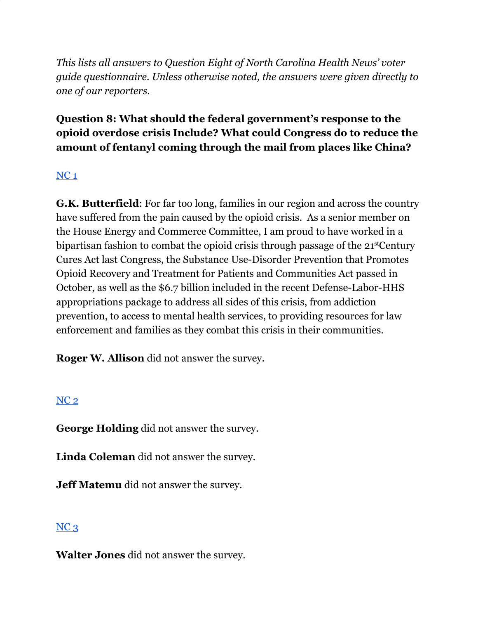*This lists all answers to Question Eight of North Carolina Health News' voter guide questionnaire. Unless otherwise noted, the answers were given directly to one of our reporters.*

# **Question 8: What should the federal government's response to the opioid overdose crisis Include? What could Congress do to reduce the amount of fentanyl coming through the mail from places like China?**

# $NC<sub>1</sub>$  $NC<sub>1</sub>$

**G.K. Butterfield**: For far too long, families in our region and across the country have suffered from the pain caused by the opioid crisis. As a senior member on the House Energy and Commerce Committee, I am proud to have worked in a bipartisan fashion to combat the opioid crisis through passage of the 21<sup>st</sup>Century Cures Act last Congress, the Substance Use-Disorder Prevention that Promotes Opioid Recovery and Treatment for Patients and Communities Act passed in October, as well as the \$6.7 billion included in the recent Defense-Labor-HHS appropriations package to address all sides of this crisis, from addiction prevention, to access to mental health services, to providing resources for law enforcement and families as they combat this crisis in their communities.

**Roger W. Allison** did not answer the survey.

# [NC](https://docs.google.com/document/d/1QKoGh33FjmS89YNY1wDfJ6fB9ikH0fC117WjizExMhc/edit?usp=sharing) 2

**George Holding** did not answer the survey.

**Linda Coleman** did not answer the survey.

**Jeff Matemu** did not answer the survey.

# $NC<sub>3</sub>$  $NC<sub>3</sub>$

**Walter Jones** did not answer the survey.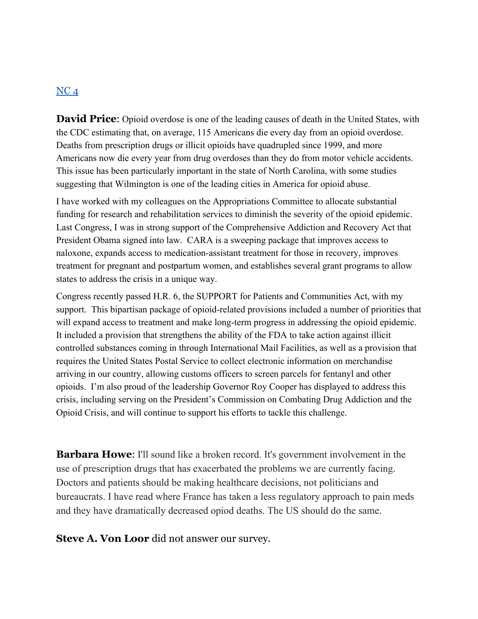#### $NC<sub>4</sub>$  $NC<sub>4</sub>$

**David Price:** Opioid overdose is one of the leading causes of death in the United States, with the CDC estimating that, on average, 115 Americans die every day from an opioid overdose. Deaths from prescription drugs or illicit opioids have quadrupled since 1999, and more Americans now die every year from drug overdoses than they do from motor vehicle accidents. This issue has been particularly important in the state of North Carolina, with some studies suggesting that Wilmington is one of the leading cities in America for opioid abuse.

I have worked with my colleagues on the Appropriations Committee to allocate substantial funding for research and rehabilitation services to diminish the severity of the opioid epidemic. Last Congress, I was in strong support of the Comprehensive Addiction and Recovery Act that President Obama signed into law. CARA is a sweeping package that improves access to naloxone, expands access to medication-assistant treatment for those in recovery, improves treatment for pregnant and postpartum women, and establishes several grant programs to allow states to address the crisis in a unique way.

Congress recently passed H.R. 6, the SUPPORT for Patients and Communities Act, with my support. This bipartisan package of opioid-related provisions included a number of priorities that will expand access to treatment and make long-term progress in addressing the opioid epidemic. It included a provision that strengthens the ability of the FDA to take action against illicit controlled substances coming in through International Mail Facilities, as well as a provision that requires the United States Postal Service to collect electronic information on merchandise arriving in our country, allowing customs officers to screen parcels for fentanyl and other opioids. I'm also proud of the leadership Governor Roy Cooper has displayed to address this crisis, including serving on the President's Commission on Combating Drug Addiction and the Opioid Crisis, and will continue to support his efforts to tackle this challenge.

**Barbara Howe:** I'll sound like a broken record. It's government involvement in the use of prescription drugs that has exacerbated the problems we are currently facing. Doctors and patients should be making healthcare decisions, not politicians and bureaucrats. I have read where France has taken a less regulatory approach to pain meds and they have dramatically decreased opiod deaths. The US should do the same.

**Steve A. Von Loor** did not answer our survey.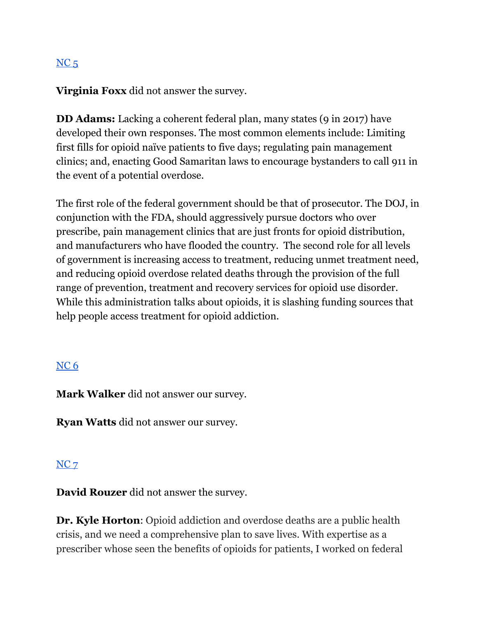# $NC<sub>5</sub>$  $NC<sub>5</sub>$

**Virginia Foxx** did not answer the survey.

**DD Adams:** Lacking a coherent federal plan, many states (9 in 2017) have developed their own responses. The most common elements include: Limiting first fills for opioid naïve patients to five days; regulating pain management clinics; and, enacting Good Samaritan laws to encourage bystanders to call 911 in the event of a potential overdose.

The first role of the federal government should be that of prosecutor. The DOJ, in conjunction with the FDA, should aggressively pursue doctors who over prescribe, pain management clinics that are just fronts for opioid distribution, and manufacturers who have flooded the country. The second role for all levels of government is increasing access to treatment, reducing unmet treatment need, and reducing opioid overdose related deaths through the provision of the full range of prevention, treatment and recovery services for opioid use disorder. While this administration talks about opioids, it is slashing funding sources that help people access treatment for opioid addiction.

#### [NC](https://docs.google.com/document/d/1cAsotr6xS9I-V4NP1ueB3T1dzRsHO07YN2hMv9b4xU0/edit?usp=sharing) 6

**Mark Walker** did not answer our survey.

**Ryan Watts** did not answer our survey.

#### [NC](https://docs.google.com/document/d/1QKoGh33FjmS89YNY1wDfJ6fB9ikH0fC117WjizExMhc/edit?usp=sharing) 7

**David Rouzer** did not answer the survey.

**Dr. Kyle Horton**: Opioid addiction and overdose deaths are a public health crisis, and we need a comprehensive plan to save lives. With expertise as a prescriber whose seen the benefits of opioids for patients, I worked on federal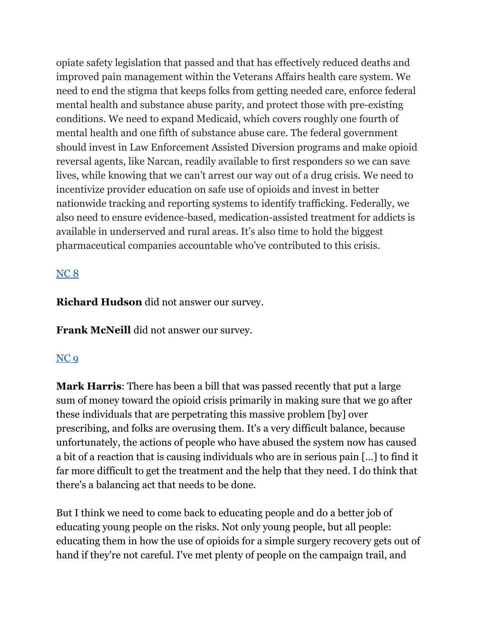opiate safety legislation that passed and that has effectively reduced deaths and improved pain management within the Veterans Affairs health care system. We need to end the stigma that keeps folks from getting needed care, enforce federal mental health and substance abuse parity, and protect those with pre-existing conditions. We need to expand Medicaid, which covers roughly one fourth of mental health and one fifth of substance abuse care. The federal government should invest in Law Enforcement Assisted Diversion programs and make opioid reversal agents, like Narcan, readily available to first responders so we can save lives, while knowing that we can't arrest our way out of a drug crisis. We need to incentivize provider education on safe use of opioids and invest in better nationwide tracking and reporting systems to identify trafficking. Federally, we also need to ensure evidence-based, medication-assisted treatment for addicts is available in underserved and rural areas. It's also time to hold the biggest pharmaceutical companies accountable who've contributed to this crisis.

### [NC](https://docs.google.com/document/d/1cAsotr6xS9I-V4NP1ueB3T1dzRsHO07YN2hMv9b4xU0/edit?usp=sharing) 8

**Richard Hudson** did not answer our survey.

**Frank McNeill** did not answer our survey.

### [NC](https://docs.google.com/document/d/1cAsotr6xS9I-V4NP1ueB3T1dzRsHO07YN2hMv9b4xU0/edit?usp=sharing) 9

**Mark Harris**: There has been a bill that was passed recently that put a large sum of money toward the opioid crisis primarily in making sure that we go after these individuals that are perpetrating this massive problem [by] over prescribing, and folks are overusing them. It's a very difficult balance, because unfortunately, the actions of people who have abused the system now has caused a bit of a reaction that is causing individuals who are in serious pain […] to find it far more difficult to get the treatment and the help that they need. I do think that there's a balancing act that needs to be done.

But I think we need to come back to educating people and do a better job of educating young people on the risks. Not only young people, but all people: educating them in how the use of opioids for a simple surgery recovery gets out of hand if they're not careful. I've met plenty of people on the campaign trail, and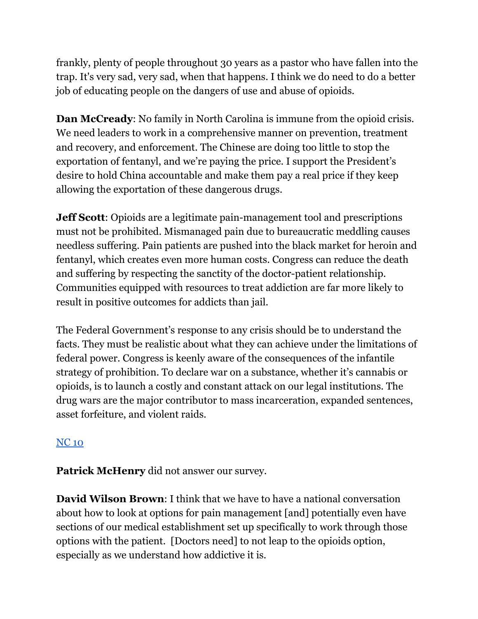frankly, plenty of people throughout 30 years as a pastor who have fallen into the trap. It's very sad, very sad, when that happens. I think we do need to do a better job of educating people on the dangers of use and abuse of opioids.

**Dan McCready**: No family in North Carolina is immune from the opioid crisis. We need leaders to work in a comprehensive manner on prevention, treatment and recovery, and enforcement. The Chinese are doing too little to stop the exportation of fentanyl, and we're paying the price. I support the President's desire to hold China accountable and make them pay a real price if they keep allowing the exportation of these dangerous drugs.

**Jeff Scott**: Opioids are a legitimate pain-management tool and prescriptions must not be prohibited. Mismanaged pain due to bureaucratic meddling causes needless suffering. Pain patients are pushed into the black market for heroin and fentanyl, which creates even more human costs. Congress can reduce the death and suffering by respecting the sanctity of the doctor-patient relationship. Communities equipped with resources to treat addiction are far more likely to result in positive outcomes for addicts than jail.

The Federal Government's response to any crisis should be to understand the facts. They must be realistic about what they can achieve under the limitations of federal power. Congress is keenly aware of the consequences of the infantile strategy of prohibition. To declare war on a substance, whether it's cannabis or opioids, is to launch a costly and constant attack on our legal institutions. The drug wars are the major contributor to mass incarceration, expanded sentences, asset forfeiture, and violent raids.

# [NC](https://docs.google.com/document/d/1EwcDTcuh6JGaw8mrxqMd1mif60VC1AoJttBCXQFIKtA/edit?usp=sharing) 10

**Patrick McHenry** did not answer our survey.

**David Wilson Brown**: I think that we have to have a national conversation about how to look at options for pain management [and] potentially even have sections of our medical establishment set up specifically to work through those options with the patient. [Doctors need] to not leap to the opioids option, especially as we understand how addictive it is.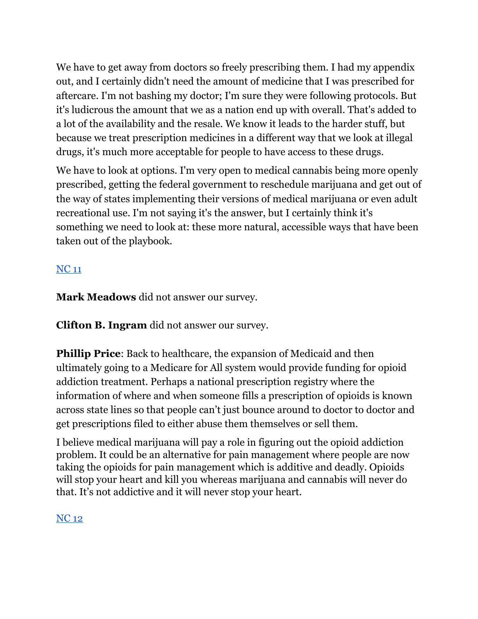We have to get away from doctors so freely prescribing them. I had my appendix out, and I certainly didn't need the amount of medicine that I was prescribed for aftercare. I'm not bashing my doctor; I'm sure they were following protocols. But it's ludicrous the amount that we as a nation end up with overall. That's added to a lot of the availability and the resale. We know it leads to the harder stuff, but because we treat prescription medicines in a different way that we look at illegal drugs, it's much more acceptable for people to have access to these drugs.

We have to look at options. I'm very open to medical cannabis being more openly prescribed, getting the federal government to reschedule marijuana and get out of the way of states implementing their versions of medical marijuana or even adult recreational use. I'm not saying it's the answer, but I certainly think it's something we need to look at: these more natural, accessible ways that have been taken out of the playbook.

# [NC](https://docs.google.com/document/d/1EwcDTcuh6JGaw8mrxqMd1mif60VC1AoJttBCXQFIKtA/edit?usp=sharing) 11

**Mark Meadows** did not answer our survey.

**Clifton B. Ingram** did not answer our survey.

**Phillip Price**: Back to healthcare, the expansion of Medicaid and then ultimately going to a Medicare for All system would provide funding for opioid addiction treatment. Perhaps a national prescription registry where the information of where and when someone fills a prescription of opioids is known across state lines so that people can't just bounce around to doctor to doctor and get prescriptions filed to either abuse them themselves or sell them.

I believe medical marijuana will pay a role in figuring out the opioid addiction problem. It could be an alternative for pain management where people are now taking the opioids for pain management which is additive and deadly. Opioids will stop your heart and kill you whereas marijuana and cannabis will never do that. It's not addictive and it will never stop your heart.

# [NC](https://docs.google.com/document/d/1EwcDTcuh6JGaw8mrxqMd1mif60VC1AoJttBCXQFIKtA/edit?usp=sharing) 12